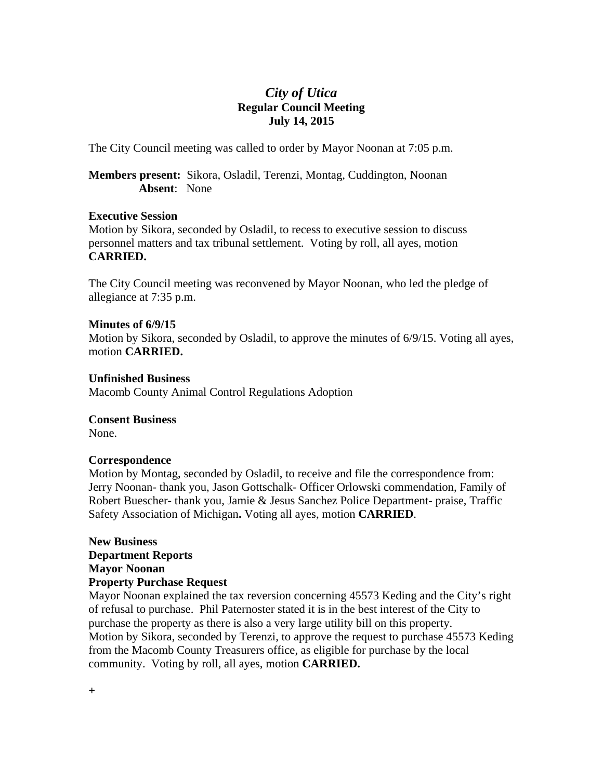# *City of Utica*  **Regular Council Meeting July 14, 2015**

The City Council meeting was called to order by Mayor Noonan at 7:05 p.m.

**Members present:** Sikora, Osladil, Terenzi, Montag, Cuddington, Noonan **Absent**: None

#### **Executive Session**

Motion by Sikora, seconded by Osladil, to recess to executive session to discuss personnel matters and tax tribunal settlement. Voting by roll, all ayes, motion **CARRIED.** 

The City Council meeting was reconvened by Mayor Noonan, who led the pledge of allegiance at 7:35 p.m.

#### **Minutes of 6/9/15**

Motion by Sikora, seconded by Osladil, to approve the minutes of 6/9/15. Voting all ayes, motion **CARRIED.** 

#### **Unfinished Business**

Macomb County Animal Control Regulations Adoption

#### **Consent Business**

None.

#### **Correspondence**

Motion by Montag, seconded by Osladil, to receive and file the correspondence from: Jerry Noonan- thank you, Jason Gottschalk- Officer Orlowski commendation, Family of Robert Buescher- thank you, Jamie & Jesus Sanchez Police Department- praise, Traffic Safety Association of Michigan**.** Voting all ayes, motion **CARRIED**.

#### **New Business Department Reports Mayor Noonan Property Purchase Request**

Mayor Noonan explained the tax reversion concerning 45573 Keding and the City's right of refusal to purchase. Phil Paternoster stated it is in the best interest of the City to purchase the property as there is also a very large utility bill on this property. Motion by Sikora, seconded by Terenzi, to approve the request to purchase 45573 Keding from the Macomb County Treasurers office, as eligible for purchase by the local community. Voting by roll, all ayes, motion **CARRIED.**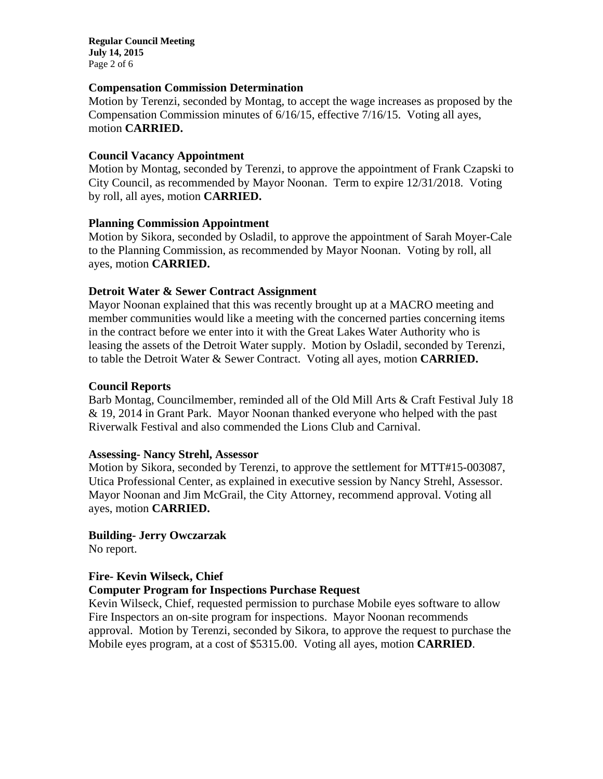**Regular Council Meeting July 14, 2015**  Page 2 of 6

#### **Compensation Commission Determination**

Motion by Terenzi, seconded by Montag, to accept the wage increases as proposed by the Compensation Commission minutes of 6/16/15, effective 7/16/15. Voting all ayes, motion **CARRIED.** 

#### **Council Vacancy Appointment**

Motion by Montag, seconded by Terenzi, to approve the appointment of Frank Czapski to City Council, as recommended by Mayor Noonan. Term to expire 12/31/2018. Voting by roll, all ayes, motion **CARRIED.** 

### **Planning Commission Appointment**

Motion by Sikora, seconded by Osladil, to approve the appointment of Sarah Moyer-Cale to the Planning Commission, as recommended by Mayor Noonan. Voting by roll, all ayes, motion **CARRIED.** 

### **Detroit Water & Sewer Contract Assignment**

Mayor Noonan explained that this was recently brought up at a MACRO meeting and member communities would like a meeting with the concerned parties concerning items in the contract before we enter into it with the Great Lakes Water Authority who is leasing the assets of the Detroit Water supply. Motion by Osladil, seconded by Terenzi, to table the Detroit Water & Sewer Contract. Voting all ayes, motion **CARRIED.**

### **Council Reports**

Barb Montag, Councilmember, reminded all of the Old Mill Arts & Craft Festival July 18 & 19, 2014 in Grant Park. Mayor Noonan thanked everyone who helped with the past Riverwalk Festival and also commended the Lions Club and Carnival.

#### **Assessing- Nancy Strehl, Assessor**

Motion by Sikora, seconded by Terenzi, to approve the settlement for MTT#15-003087, Utica Professional Center, as explained in executive session by Nancy Strehl, Assessor. Mayor Noonan and Jim McGrail, the City Attorney, recommend approval. Voting all ayes, motion **CARRIED.** 

# **Building- Jerry Owczarzak**

No report.

#### **Fire- Kevin Wilseck, Chief Computer Program for Inspections Purchase Request**

Kevin Wilseck, Chief, requested permission to purchase Mobile eyes software to allow Fire Inspectors an on-site program for inspections. Mayor Noonan recommends approval. Motion by Terenzi, seconded by Sikora, to approve the request to purchase the Mobile eyes program, at a cost of \$5315.00. Voting all ayes, motion **CARRIED**.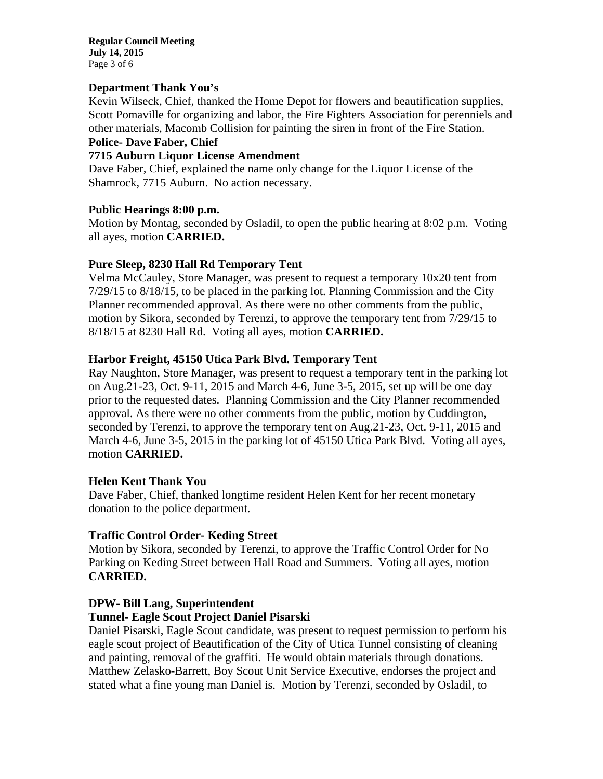**Regular Council Meeting July 14, 2015**  Page 3 of 6

#### **Department Thank You's**

Kevin Wilseck, Chief, thanked the Home Depot for flowers and beautification supplies, Scott Pomaville for organizing and labor, the Fire Fighters Association for perenniels and other materials, Macomb Collision for painting the siren in front of the Fire Station.

# **Police- Dave Faber, Chief**

#### **7715 Auburn Liquor License Amendment**

Dave Faber, Chief, explained the name only change for the Liquor License of the Shamrock, 7715 Auburn. No action necessary.

#### **Public Hearings 8:00 p.m.**

Motion by Montag, seconded by Osladil, to open the public hearing at 8:02 p.m. Voting all ayes, motion **CARRIED.** 

#### **Pure Sleep, 8230 Hall Rd Temporary Tent**

Velma McCauley, Store Manager, was present to request a temporary 10x20 tent from 7/29/15 to 8/18/15, to be placed in the parking lot. Planning Commission and the City Planner recommended approval. As there were no other comments from the public, motion by Sikora, seconded by Terenzi, to approve the temporary tent from 7/29/15 to 8/18/15 at 8230 Hall Rd. Voting all ayes, motion **CARRIED.** 

#### **Harbor Freight, 45150 Utica Park Blvd. Temporary Tent**

Ray Naughton, Store Manager, was present to request a temporary tent in the parking lot on Aug.21-23, Oct. 9-11, 2015 and March 4-6, June 3-5, 2015, set up will be one day prior to the requested dates. Planning Commission and the City Planner recommended approval. As there were no other comments from the public, motion by Cuddington, seconded by Terenzi, to approve the temporary tent on Aug.21-23, Oct. 9-11, 2015 and March 4-6, June 3-5, 2015 in the parking lot of 45150 Utica Park Blvd. Voting all ayes, motion **CARRIED.** 

#### **Helen Kent Thank You**

Dave Faber, Chief, thanked longtime resident Helen Kent for her recent monetary donation to the police department.

#### **Traffic Control Order- Keding Street**

Motion by Sikora, seconded by Terenzi, to approve the Traffic Control Order for No Parking on Keding Street between Hall Road and Summers. Voting all ayes, motion **CARRIED.** 

#### **DPW- Bill Lang, Superintendent**

#### **Tunnel- Eagle Scout Project Daniel Pisarski**

Daniel Pisarski, Eagle Scout candidate, was present to request permission to perform his eagle scout project of Beautification of the City of Utica Tunnel consisting of cleaning and painting, removal of the graffiti. He would obtain materials through donations. Matthew Zelasko-Barrett, Boy Scout Unit Service Executive, endorses the project and stated what a fine young man Daniel is. Motion by Terenzi, seconded by Osladil, to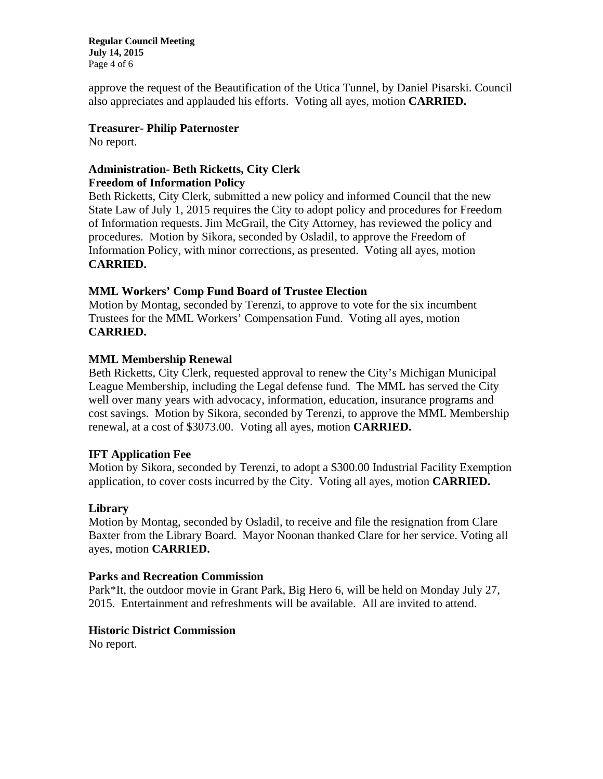**Regular Council Meeting July 14, 2015**  Page 4 of 6

approve the request of the Beautification of the Utica Tunnel, by Daniel Pisarski. Council also appreciates and applauded his efforts. Voting all ayes, motion **CARRIED.** 

### **Treasurer- Philip Paternoster**

No report.

# **Administration- Beth Ricketts, City Clerk Freedom of Information Policy**

Beth Ricketts, City Clerk, submitted a new policy and informed Council that the new State Law of July 1, 2015 requires the City to adopt policy and procedures for Freedom of Information requests. Jim McGrail, the City Attorney, has reviewed the policy and procedures. Motion by Sikora, seconded by Osladil, to approve the Freedom of Information Policy, with minor corrections, as presented. Voting all ayes, motion **CARRIED.** 

### **MML Workers' Comp Fund Board of Trustee Election**

Motion by Montag, seconded by Terenzi, to approve to vote for the six incumbent Trustees for the MML Workers' Compensation Fund. Voting all ayes, motion **CARRIED.** 

### **MML Membership Renewal**

Beth Ricketts, City Clerk, requested approval to renew the City's Michigan Municipal League Membership, including the Legal defense fund. The MML has served the City well over many years with advocacy, information, education, insurance programs and cost savings. Motion by Sikora, seconded by Terenzi, to approve the MML Membership renewal, at a cost of \$3073.00. Voting all ayes, motion **CARRIED.** 

# **IFT Application Fee**

Motion by Sikora, seconded by Terenzi, to adopt a \$300.00 Industrial Facility Exemption application, to cover costs incurred by the City. Voting all ayes, motion **CARRIED.** 

# **Library**

Motion by Montag, seconded by Osladil, to receive and file the resignation from Clare Baxter from the Library Board. Mayor Noonan thanked Clare for her service. Voting all ayes, motion **CARRIED.** 

#### **Parks and Recreation Commission**

Park\*It, the outdoor movie in Grant Park, Big Hero 6, will be held on Monday July 27, 2015. Entertainment and refreshments will be available. All are invited to attend.

# **Historic District Commission**

No report.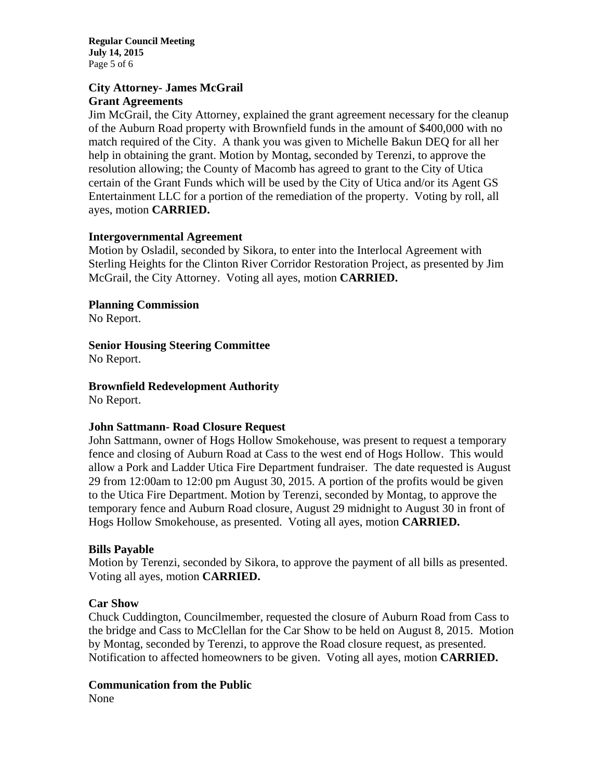**Regular Council Meeting July 14, 2015**  Page 5 of 6

# **City Attorney- James McGrail Grant Agreements**

Jim McGrail, the City Attorney, explained the grant agreement necessary for the cleanup of the Auburn Road property with Brownfield funds in the amount of \$400,000 with no match required of the City. A thank you was given to Michelle Bakun DEQ for all her help in obtaining the grant. Motion by Montag, seconded by Terenzi, to approve the resolution allowing; the County of Macomb has agreed to grant to the City of Utica certain of the Grant Funds which will be used by the City of Utica and/or its Agent GS Entertainment LLC for a portion of the remediation of the property. Voting by roll, all ayes, motion **CARRIED.** 

### **Intergovernmental Agreement**

Motion by Osladil, seconded by Sikora, to enter into the Interlocal Agreement with Sterling Heights for the Clinton River Corridor Restoration Project, as presented by Jim McGrail, the City Attorney. Voting all ayes, motion **CARRIED.** 

**Planning Commission** 

No Report.

**Senior Housing Steering Committee** 

No Report.

**Brownfield Redevelopment Authority**  No Report.

#### **John Sattmann- Road Closure Request**

John Sattmann, owner of Hogs Hollow Smokehouse, was present to request a temporary fence and closing of Auburn Road at Cass to the west end of Hogs Hollow. This would allow a Pork and Ladder Utica Fire Department fundraiser. The date requested is August 29 from 12:00am to 12:00 pm August 30, 2015. A portion of the profits would be given to the Utica Fire Department. Motion by Terenzi, seconded by Montag, to approve the temporary fence and Auburn Road closure, August 29 midnight to August 30 in front of Hogs Hollow Smokehouse, as presented. Voting all ayes, motion **CARRIED.** 

#### **Bills Payable**

Motion by Terenzi, seconded by Sikora, to approve the payment of all bills as presented. Voting all ayes, motion **CARRIED.** 

#### **Car Show**

Chuck Cuddington, Councilmember, requested the closure of Auburn Road from Cass to the bridge and Cass to McClellan for the Car Show to be held on August 8, 2015. Motion by Montag, seconded by Terenzi, to approve the Road closure request, as presented. Notification to affected homeowners to be given. Voting all ayes, motion **CARRIED.** 

#### **Communication from the Public**

None